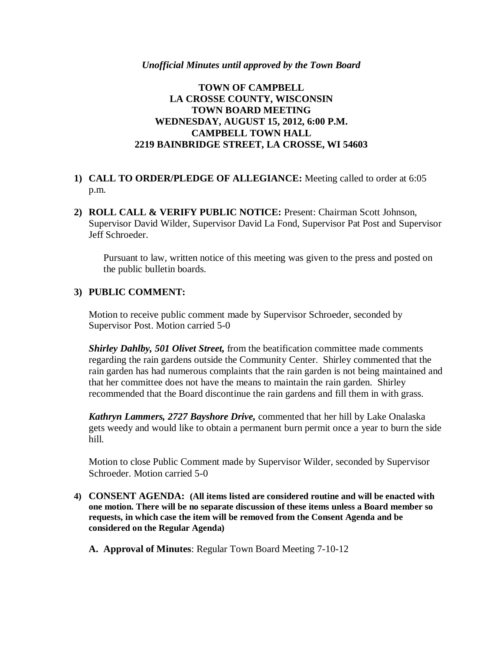#### *Unofficial Minutes until approved by the Town Board*

### **TOWN OF CAMPBELL LA CROSSE COUNTY, WISCONSIN TOWN BOARD MEETING WEDNESDAY, AUGUST 15, 2012, 6:00 P.M. CAMPBELL TOWN HALL 2219 BAINBRIDGE STREET, LA CROSSE, WI 54603**

- **1) CALL TO ORDER/PLEDGE OF ALLEGIANCE:** Meeting called to order at 6:05 p.m.
- **2) ROLL CALL & VERIFY PUBLIC NOTICE:** Present: Chairman Scott Johnson, Supervisor David Wilder, Supervisor David La Fond, Supervisor Pat Post and Supervisor Jeff Schroeder.

Pursuant to law, written notice of this meeting was given to the press and posted on the public bulletin boards.

### **3) PUBLIC COMMENT:**

Motion to receive public comment made by Supervisor Schroeder, seconded by Supervisor Post. Motion carried 5-0

*Shirley Dahlby, 501 Olivet Street,* from the beatification committee made comments regarding the rain gardens outside the Community Center. Shirley commented that the rain garden has had numerous complaints that the rain garden is not being maintained and that her committee does not have the means to maintain the rain garden. Shirley recommended that the Board discontinue the rain gardens and fill them in with grass.

*Kathryn Lammers, 2727 Bayshore Drive,* commented that her hill by Lake Onalaska gets weedy and would like to obtain a permanent burn permit once a year to burn the side hill.

Motion to close Public Comment made by Supervisor Wilder, seconded by Supervisor Schroeder. Motion carried 5-0

- **4) CONSENT AGENDA: (All items listed are considered routine and will be enacted with one motion. There will be no separate discussion of these items unless a Board member so requests, in which case the item will be removed from the Consent Agenda and be considered on the Regular Agenda)**
	- **A. Approval of Minutes**: Regular Town Board Meeting 7-10-12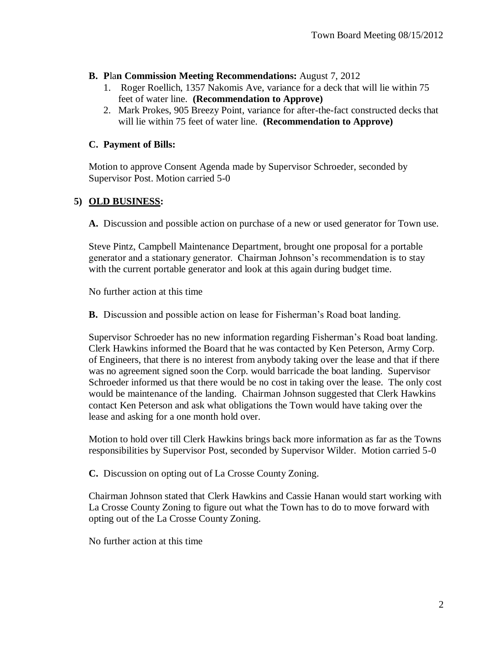- **B. P**la**n Commission Meeting Recommendations:** August 7, 2012
	- 1. Roger Roellich, 1357 Nakomis Ave, variance for a deck that will lie within 75 feet of water line. **(Recommendation to Approve)**
	- 2. Mark Prokes, 905 Breezy Point, variance for after-the-fact constructed decks that will lie within 75 feet of water line. **(Recommendation to Approve)**

## **C. Payment of Bills:**

Motion to approve Consent Agenda made by Supervisor Schroeder, seconded by Supervisor Post. Motion carried 5-0

# **5) OLD BUSINESS:**

**A.** Discussion and possible action on purchase of a new or used generator for Town use.

Steve Pintz, Campbell Maintenance Department, brought one proposal for a portable generator and a stationary generator. Chairman Johnson's recommendation is to stay with the current portable generator and look at this again during budget time.

No further action at this time

**B.** Discussion and possible action on lease for Fisherman's Road boat landing.

Supervisor Schroeder has no new information regarding Fisherman's Road boat landing. Clerk Hawkins informed the Board that he was contacted by Ken Peterson, Army Corp. of Engineers, that there is no interest from anybody taking over the lease and that if there was no agreement signed soon the Corp. would barricade the boat landing. Supervisor Schroeder informed us that there would be no cost in taking over the lease. The only cost would be maintenance of the landing. Chairman Johnson suggested that Clerk Hawkins contact Ken Peterson and ask what obligations the Town would have taking over the lease and asking for a one month hold over.

Motion to hold over till Clerk Hawkins brings back more information as far as the Towns responsibilities by Supervisor Post, seconded by Supervisor Wilder. Motion carried 5-0

**C.** Discussion on opting out of La Crosse County Zoning.

Chairman Johnson stated that Clerk Hawkins and Cassie Hanan would start working with La Crosse County Zoning to figure out what the Town has to do to move forward with opting out of the La Crosse County Zoning.

No further action at this time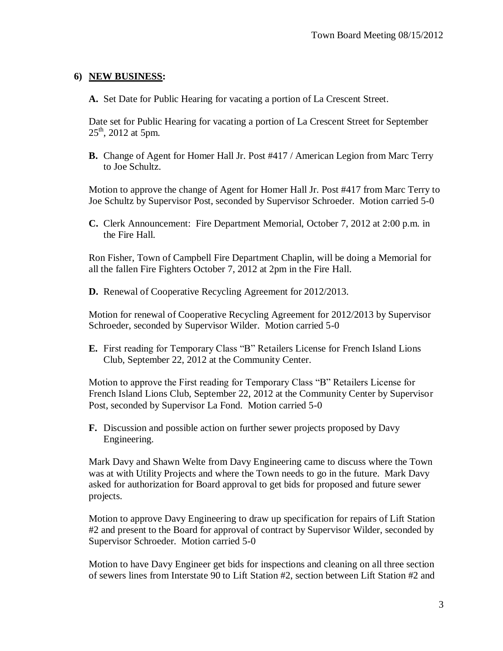### **6) NEW BUSINESS:**

**A.** Set Date for Public Hearing for vacating a portion of La Crescent Street.

Date set for Public Hearing for vacating a portion of La Crescent Street for September  $25<sup>th</sup>$ , 2012 at 5pm.

**B.** Change of Agent for Homer Hall Jr. Post #417 / American Legion from Marc Terry to Joe Schultz.

Motion to approve the change of Agent for Homer Hall Jr. Post #417 from Marc Terry to Joe Schultz by Supervisor Post, seconded by Supervisor Schroeder. Motion carried 5-0

**C.** Clerk Announcement: Fire Department Memorial, October 7, 2012 at 2:00 p.m. in the Fire Hall.

Ron Fisher, Town of Campbell Fire Department Chaplin, will be doing a Memorial for all the fallen Fire Fighters October 7, 2012 at 2pm in the Fire Hall.

**D.** Renewal of Cooperative Recycling Agreement for 2012/2013.

Motion for renewal of Cooperative Recycling Agreement for 2012/2013 by Supervisor Schroeder, seconded by Supervisor Wilder. Motion carried 5-0

**E.** First reading for Temporary Class "B" Retailers License for French Island Lions Club, September 22, 2012 at the Community Center.

Motion to approve the First reading for Temporary Class "B" Retailers License for French Island Lions Club, September 22, 2012 at the Community Center by Supervisor Post, seconded by Supervisor La Fond. Motion carried 5-0

**F.** Discussion and possible action on further sewer projects proposed by Davy Engineering.

Mark Davy and Shawn Welte from Davy Engineering came to discuss where the Town was at with Utility Projects and where the Town needs to go in the future. Mark Davy asked for authorization for Board approval to get bids for proposed and future sewer projects.

Motion to approve Davy Engineering to draw up specification for repairs of Lift Station #2 and present to the Board for approval of contract by Supervisor Wilder, seconded by Supervisor Schroeder. Motion carried 5-0

Motion to have Davy Engineer get bids for inspections and cleaning on all three section of sewers lines from Interstate 90 to Lift Station #2, section between Lift Station #2 and